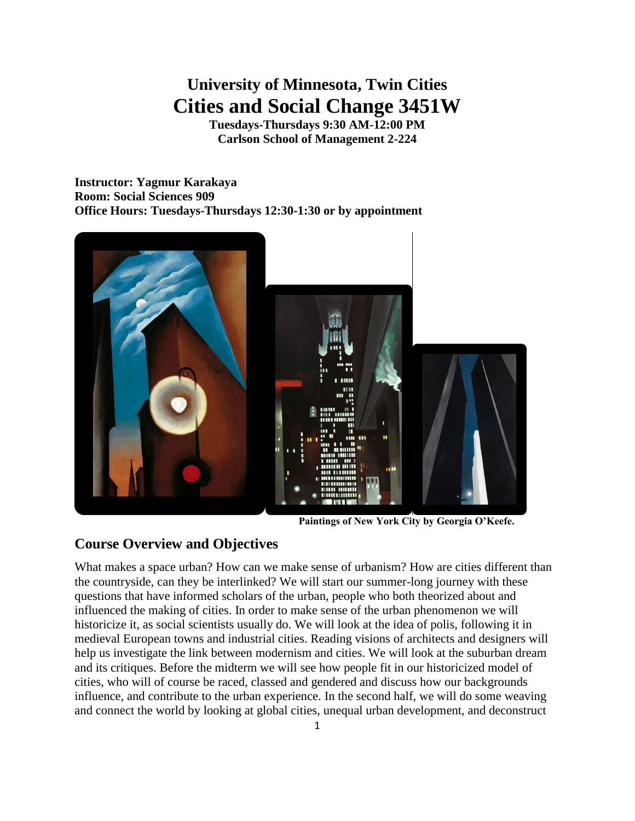# **University of Minnesota, Twin Cities Cities and Social Change 3451W**

**Tuesdays-Thursdays 9:30 AM-12:00 PM Carlson School of Management 2-224**

**Instructor: Yagmur Karakaya Room: Social Sciences 909 Office Hours: Tuesdays-Thursdays 12:30-1:30 or by appointment**



**Paintings of New York City by Georgia O'Keefe.** 

## **Course Overview and Objectives**

What makes a space urban? How can we make sense of urbanism? How are cities different than the countryside, can they be interlinked? We will start our summer-long journey with these questions that have informed scholars of the urban, people who both theorized about and influenced the making of cities. In order to make sense of the urban phenomenon we will historicize it, as social scientists usually do. We will look at the idea of polis, following it in medieval European towns and industrial cities. Reading visions of architects and designers will help us investigate the link between modernism and cities. We will look at the suburban dream and its critiques. Before the midterm we will see how people fit in our historicized model of cities, who will of course be raced, classed and gendered and discuss how our backgrounds influence, and contribute to the urban experience. In the second half, we will do some weaving and connect the world by looking at global cities, unequal urban development, and deconstruct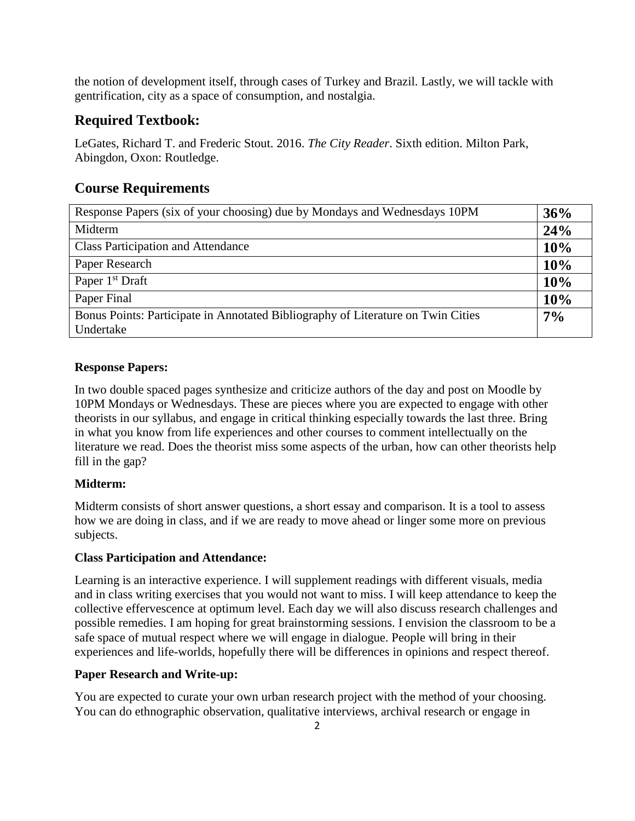the notion of development itself, through cases of Turkey and Brazil. Lastly, we will tackle with gentrification, city as a space of consumption, and nostalgia.

## **Required Textbook:**

LeGates, Richard T. and Frederic Stout. 2016. *The City Reader*. Sixth edition. Milton Park, Abingdon, Oxon: Routledge.

# **Course Requirements**

| Response Papers (six of your choosing) due by Mondays and Wednesdays 10PM        | 36% |
|----------------------------------------------------------------------------------|-----|
| Midterm                                                                          | 24% |
| <b>Class Participation and Attendance</b>                                        | 10% |
| Paper Research                                                                   | 10% |
| Paper 1 <sup>st</sup> Draft                                                      | 10% |
| Paper Final                                                                      | 10% |
| Bonus Points: Participate in Annotated Bibliography of Literature on Twin Cities | 7%  |
| Undertake                                                                        |     |

## **Response Papers:**

In two double spaced pages synthesize and criticize authors of the day and post on Moodle by 10PM Mondays or Wednesdays. These are pieces where you are expected to engage with other theorists in our syllabus, and engage in critical thinking especially towards the last three. Bring in what you know from life experiences and other courses to comment intellectually on the literature we read. Does the theorist miss some aspects of the urban, how can other theorists help fill in the gap?

## **Midterm:**

Midterm consists of short answer questions, a short essay and comparison. It is a tool to assess how we are doing in class, and if we are ready to move ahead or linger some more on previous subjects.

## **Class Participation and Attendance:**

Learning is an interactive experience. I will supplement readings with different visuals, media and in class writing exercises that you would not want to miss. I will keep attendance to keep the collective effervescence at optimum level. Each day we will also discuss research challenges and possible remedies. I am hoping for great brainstorming sessions. I envision the classroom to be a safe space of mutual respect where we will engage in dialogue. People will bring in their experiences and life-worlds, hopefully there will be differences in opinions and respect thereof.

## **Paper Research and Write-up:**

You are expected to curate your own urban research project with the method of your choosing. You can do ethnographic observation, qualitative interviews, archival research or engage in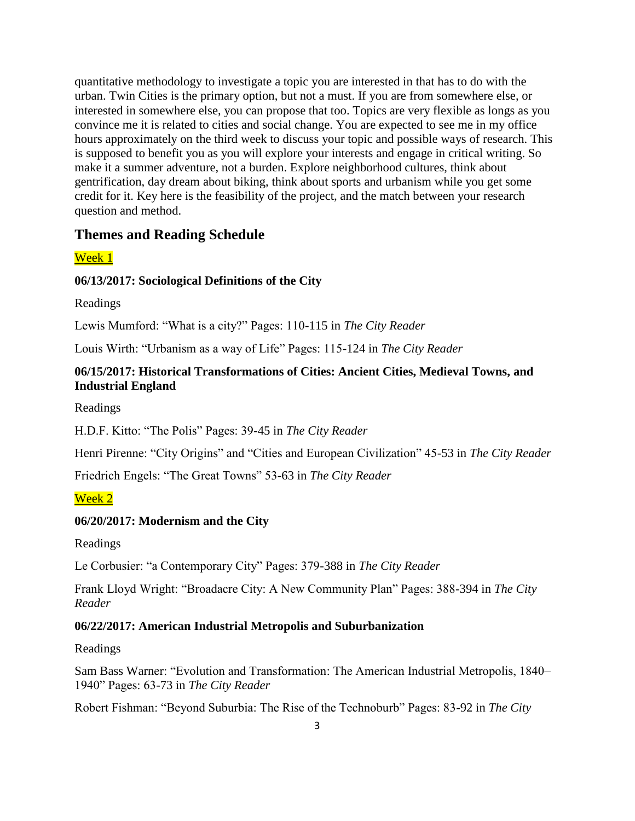quantitative methodology to investigate a topic you are interested in that has to do with the urban. Twin Cities is the primary option, but not a must. If you are from somewhere else, or interested in somewhere else, you can propose that too. Topics are very flexible as longs as you convince me it is related to cities and social change. You are expected to see me in my office hours approximately on the third week to discuss your topic and possible ways of research. This is supposed to benefit you as you will explore your interests and engage in critical writing. So make it a summer adventure, not a burden. Explore neighborhood cultures, think about gentrification, day dream about biking, think about sports and urbanism while you get some credit for it. Key here is the feasibility of the project, and the match between your research question and method.

## **Themes and Reading Schedule**

Week 1

#### **06/13/2017: Sociological Definitions of the City**

Readings

Lewis Mumford: "What is a city?" Pages: 110-115 in *The City Reader*

Louis Wirth: "Urbanism as a way of Life" Pages: 115-124 in *The City Reader*

### **06/15/2017: Historical Transformations of Cities: Ancient Cities, Medieval Towns, and Industrial England**

Readings

H.D.F. Kitto: "The Polis" Pages: 39-45 in *The City Reader*

Henri Pirenne: "City Origins" and "Cities and European Civilization" 45-53 in *The City Reader*

Friedrich Engels: "The Great Towns" 53-63 in *The City Reader*

Week 2

## **06/20/2017: Modernism and the City**

Readings

Le Corbusier: "a Contemporary City" Pages: 379-388 in *The City Reader*

Frank Lloyd Wright: "Broadacre City: A New Community Plan" Pages: 388-394 in *The City Reader*

#### **06/22/2017: American Industrial Metropolis and Suburbanization**

Readings

Sam Bass Warner: "Evolution and Transformation: The American Industrial Metropolis, 1840– 1940" Pages: 63-73 in *The City Reader*

Robert Fishman: "Beyond Suburbia: The Rise of the Technoburb" Pages: 83-92 in *The City*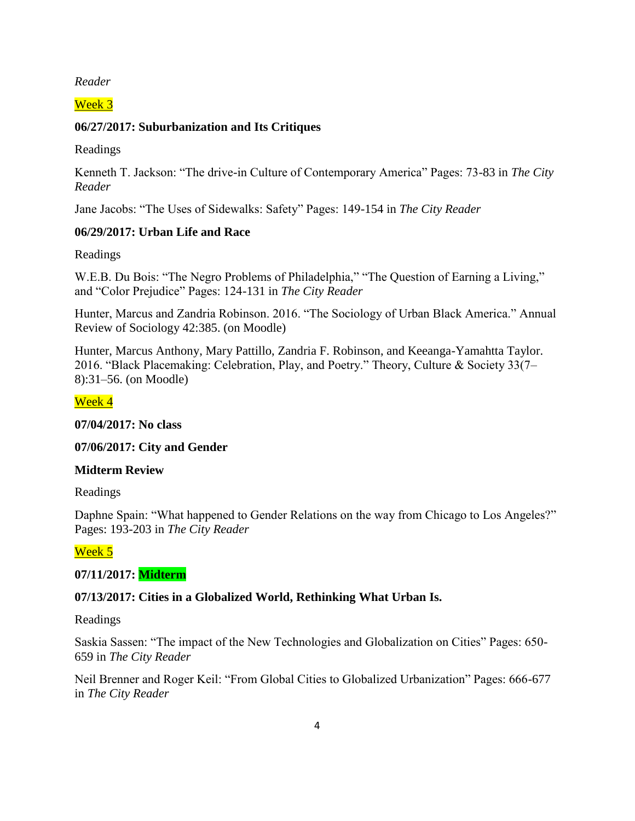*Reader*

Week 3

#### **06/27/2017: Suburbanization and Its Critiques**

Readings

Kenneth T. Jackson: "The drive-in Culture of Contemporary America" Pages: 73-83 in *The City Reader*

Jane Jacobs: "The Uses of Sidewalks: Safety" Pages: 149-154 in *The City Reader*

#### **06/29/2017: Urban Life and Race**

Readings

W.E.B. Du Bois: "The Negro Problems of Philadelphia," "The Question of Earning a Living," and "Color Prejudice" Pages: 124-131 in *The City Reader*

Hunter, Marcus and Zandria Robinson. 2016. "The Sociology of Urban Black America." Annual Review of Sociology 42:385. (on Moodle)

Hunter, Marcus Anthony, Mary Pattillo, Zandria F. Robinson, and Keeanga-Yamahtta Taylor. 2016. "Black Placemaking: Celebration, Play, and Poetry." Theory, Culture & Society 33(7– 8):31–56. (on Moodle)

## Week 4

**07/04/2017: No class**

**07/06/2017: City and Gender** 

#### **Midterm Review**

Readings

Daphne Spain: "What happened to Gender Relations on the way from Chicago to Los Angeles?" Pages: 193-203 in *The City Reader*

## Week 5

## **07/11/2017: Midterm**

## **07/13/2017: Cities in a Globalized World, Rethinking What Urban Is.**

Readings

Saskia Sassen: "The impact of the New Technologies and Globalization on Cities" Pages: 650- 659 in *The City Reader*

Neil Brenner and Roger Keil: "From Global Cities to Globalized Urbanization" Pages: 666-677 in *The City Reader*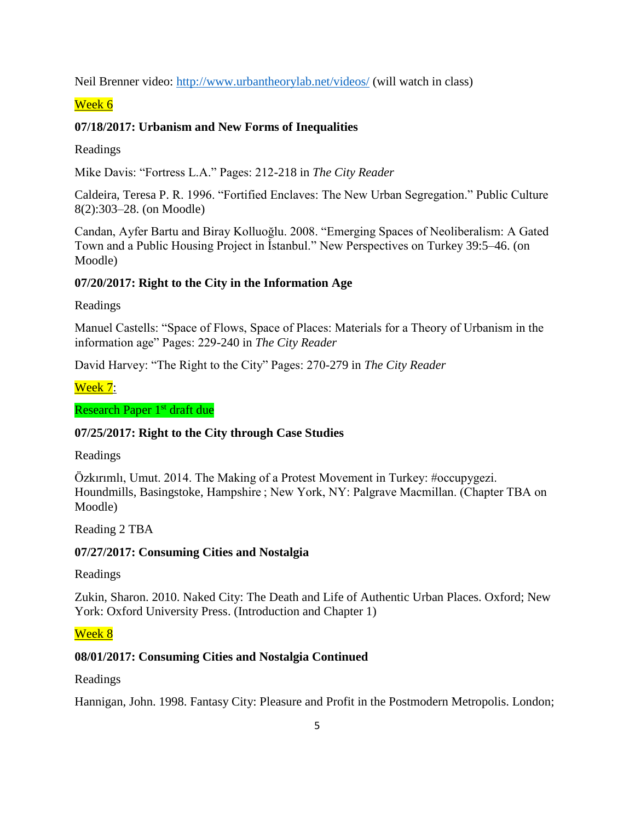Neil Brenner video:<http://www.urbantheorylab.net/videos/> (will watch in class)

Week 6

#### **07/18/2017: Urbanism and New Forms of Inequalities**

Readings

Mike Davis: "Fortress L.A." Pages: 212-218 in *The City Reader*

Caldeira, Teresa P. R. 1996. "Fortified Enclaves: The New Urban Segregation." Public Culture 8(2):303–28. (on Moodle)

Candan, Ayfer Bartu and Biray Kolluoğlu. 2008. "Emerging Spaces of Neoliberalism: A Gated Town and a Public Housing Project in İstanbul." New Perspectives on Turkey 39:5–46. (on Moodle)

#### **07/20/2017: Right to the City in the Information Age**

Readings

Manuel Castells: "Space of Flows, Space of Places: Materials for a Theory of Urbanism in the information age" Pages: 229-240 in *The City Reader*

David Harvey: "The Right to the City" Pages: 270-279 in *The City Reader*

#### Week 7:

Research Paper 1<sup>st</sup> draft due

#### **07/25/2017: Right to the City through Case Studies**

Readings

Özkırımlı, Umut. 2014. The Making of a Protest Movement in Turkey: #occupygezi. Houndmills, Basingstoke, Hampshire ; New York, NY: Palgrave Macmillan. (Chapter TBA on Moodle)

Reading 2 TBA

#### **07/27/2017: Consuming Cities and Nostalgia**

Readings

Zukin, Sharon. 2010. Naked City: The Death and Life of Authentic Urban Places. Oxford; New York: Oxford University Press. (Introduction and Chapter 1)

#### Week 8

#### **08/01/2017: Consuming Cities and Nostalgia Continued**

Readings

Hannigan, John. 1998. Fantasy City: Pleasure and Profit in the Postmodern Metropolis. London;